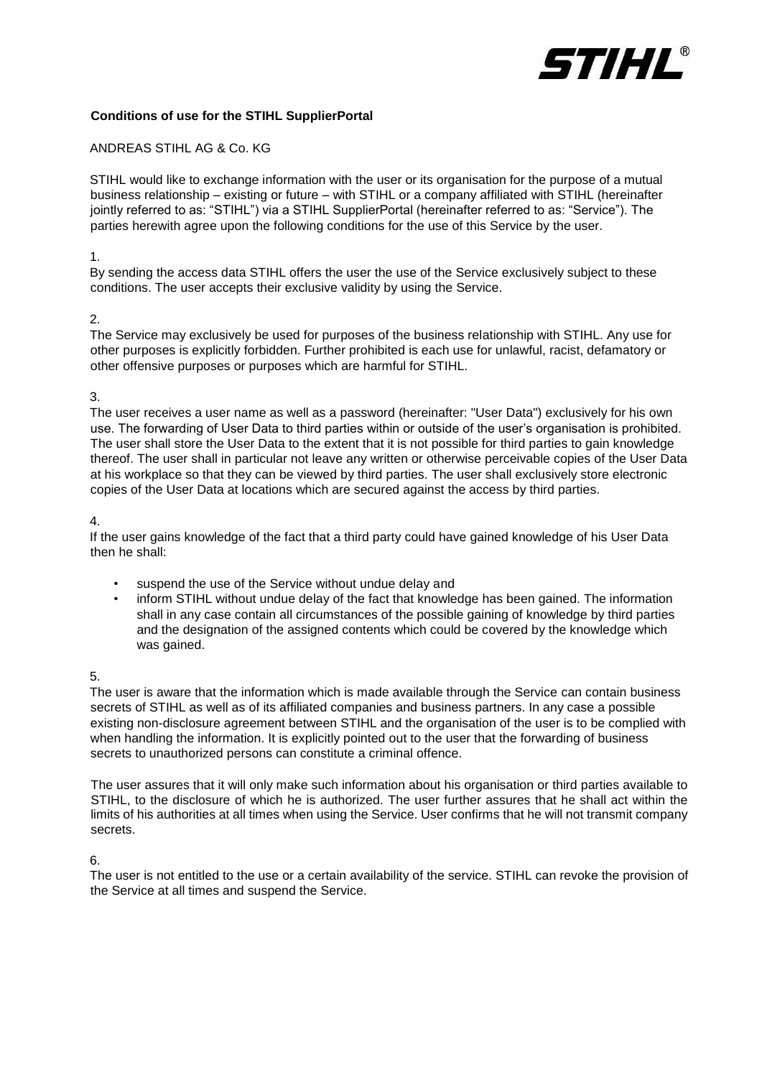

# **Conditions of use for the STIHL SupplierPortal**

### ANDREAS STIHL AG & Co. KG

STIHL would like to exchange information with the user or its organisation for the purpose of a mutual business relationship – existing or future – with STIHL or a company affiliated with STIHL (hereinafter jointly referred to as: "STIHL") via a STIHL SupplierPortal (hereinafter referred to as: "Service"). The parties herewith agree upon the following conditions for the use of this Service by the user.

#### 1.

By sending the access data STIHL offers the user the use of the Service exclusively subject to these conditions. The user accepts their exclusive validity by using the Service.

### 2.

The Service may exclusively be used for purposes of the business relationship with STIHL. Any use for other purposes is explicitly forbidden. Further prohibited is each use for unlawful, racist, defamatory or other offensive purposes or purposes which are harmful for STIHL.

### 3.

The user receives a user name as well as a password (hereinafter: "User Data") exclusively for his own use. The forwarding of User Data to third parties within or outside of the user's organisation is prohibited. The user shall store the User Data to the extent that it is not possible for third parties to gain knowledge thereof. The user shall in particular not leave any written or otherwise perceivable copies of the User Data at his workplace so that they can be viewed by third parties. The user shall exclusively store electronic copies of the User Data at locations which are secured against the access by third parties.

### 4.

If the user gains knowledge of the fact that a third party could have gained knowledge of his User Data then he shall:

- suspend the use of the Service without undue delay and
- inform STIHL without undue delay of the fact that knowledge has been gained. The information shall in any case contain all circumstances of the possible gaining of knowledge by third parties and the designation of the assigned contents which could be covered by the knowledge which was gained.

# 5.

The user is aware that the information which is made available through the Service can contain business secrets of STIHL as well as of its affiliated companies and business partners. In any case a possible existing non-disclosure agreement between STIHL and the organisation of the user is to be complied with when handling the information. It is explicitly pointed out to the user that the forwarding of business secrets to unauthorized persons can constitute a criminal offence.

The user assures that it will only make such information about his organisation or third parties available to STIHL, to the disclosure of which he is authorized. The user further assures that he shall act within the limits of his authorities at all times when using the Service. User confirms that he will not transmit company secrets.

# 6.

The user is not entitled to the use or a certain availability of the service. STIHL can revoke the provision of the Service at all times and suspend the Service.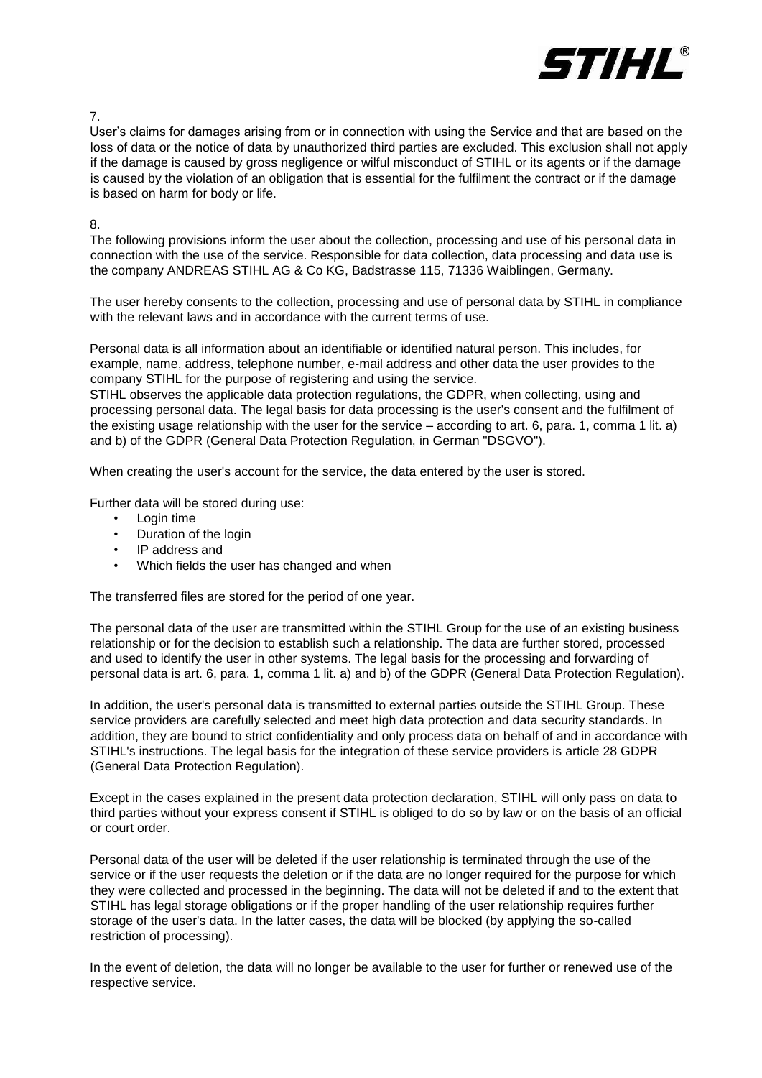

7.

User's claims for damages arising from or in connection with using the Service and that are based on the loss of data or the notice of data by unauthorized third parties are excluded. This exclusion shall not apply if the damage is caused by gross negligence or wilful misconduct of STIHL or its agents or if the damage is caused by the violation of an obligation that is essential for the fulfilment the contract or if the damage is based on harm for body or life.

8.

The following provisions inform the user about the collection, processing and use of his personal data in connection with the use of the service. Responsible for data collection, data processing and data use is the company ANDREAS STIHL AG & Co KG, Badstrasse 115, 71336 Waiblingen, Germany.

The user hereby consents to the collection, processing and use of personal data by STIHL in compliance with the relevant laws and in accordance with the current terms of use.

Personal data is all information about an identifiable or identified natural person. This includes, for example, name, address, telephone number, e-mail address and other data the user provides to the company STIHL for the purpose of registering and using the service.

STIHL observes the applicable data protection regulations, the GDPR, when collecting, using and processing personal data. The legal basis for data processing is the user's consent and the fulfilment of the existing usage relationship with the user for the service – according to art. 6, para. 1, comma 1 lit. a) and b) of the GDPR (General Data Protection Regulation, in German "DSGVO").

When creating the user's account for the service, the data entered by the user is stored.

Further data will be stored during use:

- Login time
- Duration of the login
- IP address and
- Which fields the user has changed and when

The transferred files are stored for the period of one year.

The personal data of the user are transmitted within the STIHL Group for the use of an existing business relationship or for the decision to establish such a relationship. The data are further stored, processed and used to identify the user in other systems. The legal basis for the processing and forwarding of personal data is art. 6, para. 1, comma 1 lit. a) and b) of the GDPR (General Data Protection Regulation).

In addition, the user's personal data is transmitted to external parties outside the STIHL Group. These service providers are carefully selected and meet high data protection and data security standards. In addition, they are bound to strict confidentiality and only process data on behalf of and in accordance with STIHL's instructions. The legal basis for the integration of these service providers is article 28 GDPR (General Data Protection Regulation).

Except in the cases explained in the present data protection declaration, STIHL will only pass on data to third parties without your express consent if STIHL is obliged to do so by law or on the basis of an official or court order.

Personal data of the user will be deleted if the user relationship is terminated through the use of the service or if the user requests the deletion or if the data are no longer required for the purpose for which they were collected and processed in the beginning. The data will not be deleted if and to the extent that STIHL has legal storage obligations or if the proper handling of the user relationship requires further storage of the user's data. In the latter cases, the data will be blocked (by applying the so-called restriction of processing).

In the event of deletion, the data will no longer be available to the user for further or renewed use of the respective service.